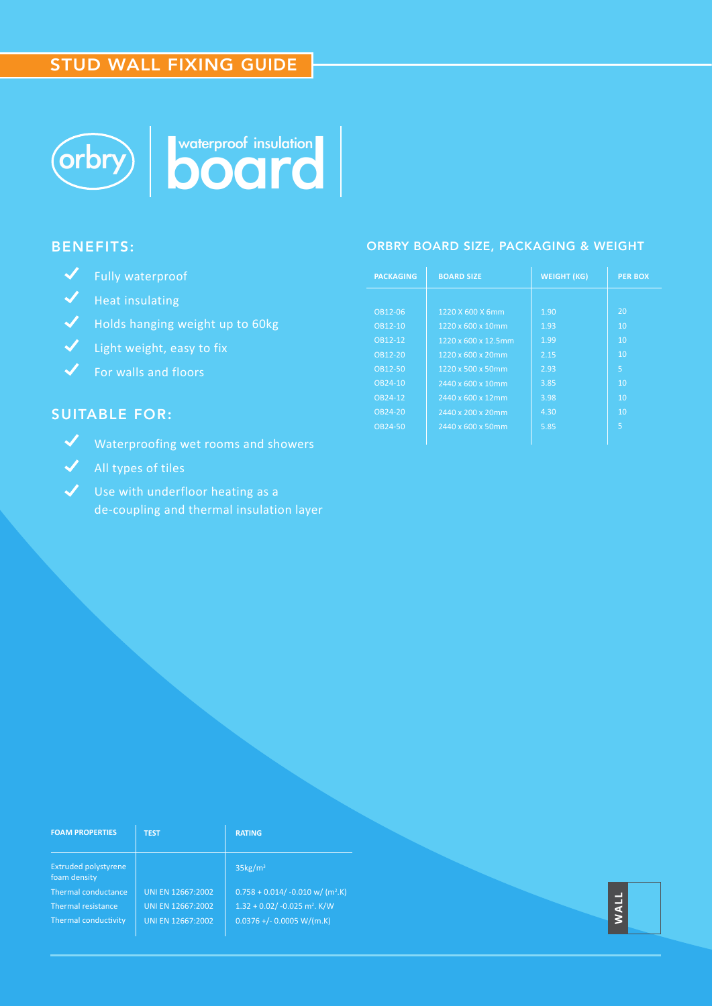# STUD WALL FIXING GUIDE





#### BENEFITS:

- Fully waterproof
- $\sqrt{\phantom{a}}$  Heat insulating
- Holds hanging weight up to 60kg
- $\sqrt{\phantom{a}}$  Light weight, easy to fix
- $\sqrt{\frac{1}{2}}$  For walls and floors

### SUITABLE FOR:

- Waterproofing wet rooms and showers
- All types of tiles
- $\checkmark$  Use with underfloor heating as a de-coupling and thermal insulation layer

#### ORBRY BOARD SIZE, PACKAGING & WEIGHT

| <b>PACKAGING</b> | <b>BOARD SIZE</b>   | <b>WEIGHT (KG)</b> | <b>PER BOX</b> |  |
|------------------|---------------------|--------------------|----------------|--|
|                  |                     |                    |                |  |
| OB12-06          | 1220 X 600 X 6mm    | 1.90               | 20             |  |
| OB12-10          | 1220 x 600 x 10mm   | 1.93               | 10             |  |
| OB12-12          | 1220 x 600 x 12.5mm | 1.99               | 10             |  |
| OB12-20          | 1220 x 600 x 20mm   | 2.15               | 10             |  |
| OB12-50          | 1220 x 500 x 50mm   | 2.93               | 5              |  |
| OB24-10          | 2440 x 600 x 10mm   | 3.85               | 10             |  |
| OB24-12          | 2440 x 600 x 12mm   | 3.98               | 10             |  |
| OB24-20          | 2440 x 200 x 20mm   | 4.30               | 10             |  |
| OB24-50          | 2440 x 600 x 50mm   | 5.85               | 5              |  |
|                  |                     |                    |                |  |

| <b>FOAM PROPERTIES</b>               | <b>TEST</b>       | <b>RATING</b>                                  |      |
|--------------------------------------|-------------------|------------------------------------------------|------|
| Extruded polystyrene<br>foam density |                   | $35\text{kg/m}^3$                              |      |
| Thermal conductance                  | UNI EN 12667:2002 | $0.758 + 0.014/ -0.010$ w/ (m <sup>2</sup> .K) |      |
| Thermal resistance                   | UNI EN 12667:2002 | $1.32 + 0.02/ -0.025$ m <sup>2</sup> . K/W     | WALL |
| Thermal conductivity                 | UNI EN 12667:2002 | $0.0376$ +/- 0.0005 W/(m.K)                    |      |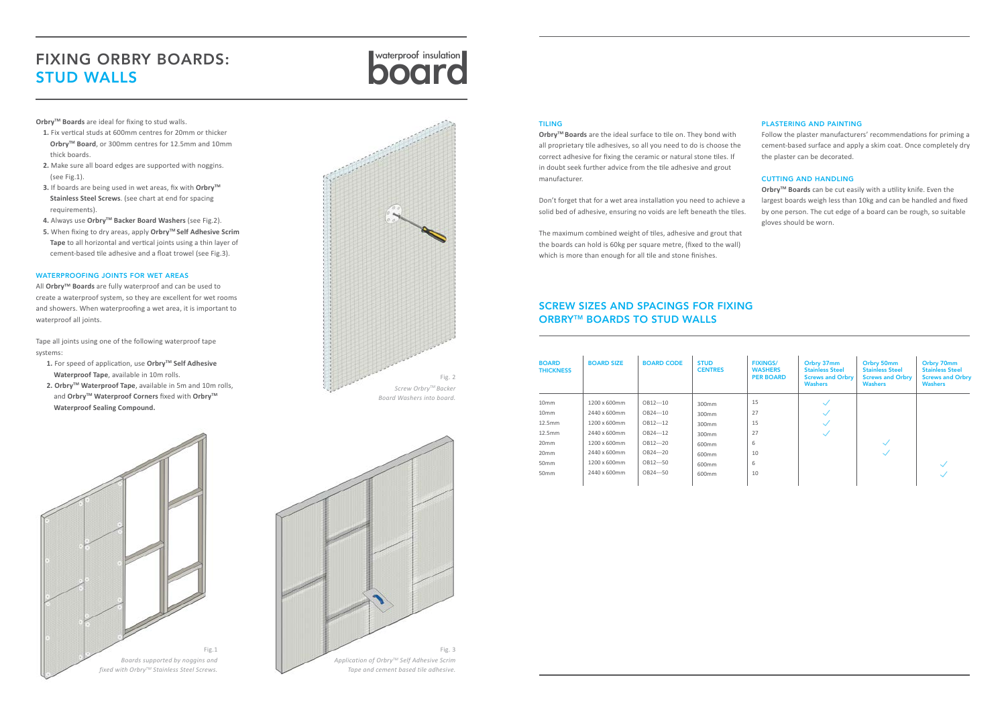# board waterproof insulation FIXING ORBRY BOARDS: STUD WALLS

**Orbry™ Boards** are ideal for fixing to stud walls.

- **1.** Fix vertical studs at 600mm centres for 20mm or thicker **Orbry™ Board**, or 300mm centres for 12.5mm and 10mm thick boards.
- **2.** Make sure all board edges are supported with noggins. (see Fig.1).
- **3.** If boards are being used in wet areas, fix with Orbry<sup>™</sup>  **Stainless Steel Screws**. (see chart at end for spacing requirements).
- **4.** Always use **OrbryTM Backer Board Washers** (see Fig.2).
- **5.** When fixing to dry areas, apply **OrbryTM Self Adhesive Scrim Tape** to all horizontal and vertical joints using a thin layer of cement-based tile adhesive and a float trowel (see Fig.3).

- **1.** For speed of application, use Orbry™ Self Adhesive **Waterproof Tape**, available in 10m rolls.
- **2. Orbry™ Waterproof Tape**, available in 5m and 10m rolls, and Orbry<sup>™</sup> Waterproof Corners fixed with Orbry<sup>™</sup>  **Waterproof Sealing Compound.**

#### WATERPROOFING JOINTS FOR WET AREAS

All **OrbryTM Boards** are fully waterproof and can be used to create a waterproof system, so they are excellent for wet rooms and showers. When waterproofing a wet area, it is important to waterproof all joints.

Tape all joints using one of the following waterproof tape systems:







#### TILING

## SCREW SIZES AND SPACINGS FOR FIXING **ORBRY™ BOARDS TO STUD WALLS**

**OrbryTM Boards** are the ideal surface to tile on. They bond with all proprietary tile adhesives, so all you need to do is choose the correct adhesive for fixing the ceramic or natural stone tiles. If in doubt seek further advice from the tile adhesive and grout manufacturer.

Don't forget that for a wet area installation you need to achieve a solid bed of adhesive, ensuring no voids are left beneath the tiles.

The maximum combined weight of tiles, adhesive and grout that the boards can hold is 60kg per square metre, (fixed to the wall) which is more than enough for all tile and stone finishes.

#### PLASTERING AND PAINTING

Follow the plaster manufacturers' recommendations for priming a cement-based surface and apply a skim coat. Once completely dry the plaster can be decorated.

#### CUTTING AND HANDLING

**OrbryTM Boards** can be cut easily with a utility knife. Even the largest boards weigh less than 10kg and can be handled and fixed by one person. The cut edge of a board can be rough, so suitable gloves should be worn.

| <b>BOARD</b><br><b>THICKNESS</b> | <b>BOARD SIZE</b> | <b>BOARD CODE</b> | <b>STUD</b><br><b>CENTRES</b> | <b>FIXINGS/</b><br><b>WASHERS</b><br><b>PER BOARD</b> | Orbry 37mm<br><b>Stainless Steel</b><br><b>Screws and Orbry</b><br><b>Washers</b> | Orbry 50mm<br><b>Stainless Steel</b><br><b>Screws and Orbry</b><br><b>Washers</b> | Orbry 70mm<br><b>Stainless Steel</b><br><b>Screws and Orbry</b><br><b>Washers</b> |
|----------------------------------|-------------------|-------------------|-------------------------------|-------------------------------------------------------|-----------------------------------------------------------------------------------|-----------------------------------------------------------------------------------|-----------------------------------------------------------------------------------|
| 10 <sub>mm</sub>                 | 1200 x 600mm      | OB12---10         | 300mm                         | 15                                                    |                                                                                   |                                                                                   |                                                                                   |
| 10 <sub>mm</sub>                 | 2440 x 600mm      | OB24---10         | 300mm                         | 27                                                    |                                                                                   |                                                                                   |                                                                                   |
| 12.5mm                           | 1200 x 600mm      | OB12---12         | 300mm                         | 15                                                    |                                                                                   |                                                                                   |                                                                                   |
| 12.5mm                           | 2440 x 600mm      | OB24---12         | 300mm                         | 27                                                    |                                                                                   |                                                                                   |                                                                                   |
| 20 <sub>mm</sub>                 | 1200 x 600mm      | OB12---20         | 600 <sub>mm</sub>             | 6                                                     |                                                                                   |                                                                                   |                                                                                   |
| 20 <sub>mm</sub>                 | 2440 x 600mm      | OB24---20         | 600mm                         | 10                                                    |                                                                                   |                                                                                   |                                                                                   |
| 50 <sub>mm</sub>                 | 1200 x 600mm      | OB12---50         | 600 <sub>mm</sub>             | 6                                                     |                                                                                   |                                                                                   |                                                                                   |
| 50 <sub>mm</sub>                 | 2440 x 600mm      | OB24---50         | 600mm                         | 10                                                    |                                                                                   |                                                                                   |                                                                                   |
|                                  |                   |                   |                               |                                                       |                                                                                   |                                                                                   |                                                                                   |